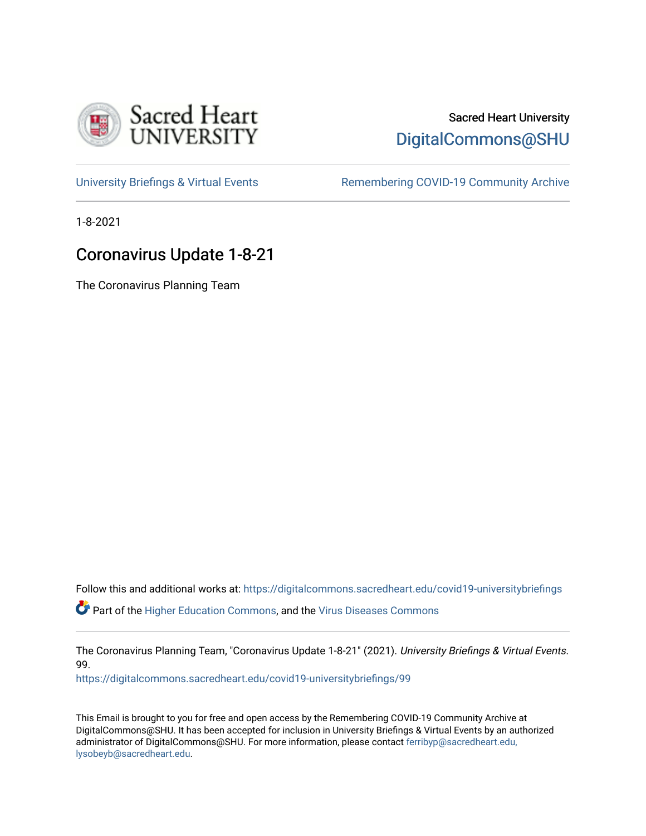

## Sacred Heart University [DigitalCommons@SHU](https://digitalcommons.sacredheart.edu/)

[University Briefings & Virtual Events](https://digitalcommons.sacredheart.edu/covid19-universitybriefings) **Remembering COVID-19 Community Archive** 

1-8-2021

# Coronavirus Update 1-8-21

The Coronavirus Planning Team

Follow this and additional works at: [https://digitalcommons.sacredheart.edu/covid19-universitybriefings](https://digitalcommons.sacredheart.edu/covid19-universitybriefings?utm_source=digitalcommons.sacredheart.edu%2Fcovid19-universitybriefings%2F99&utm_medium=PDF&utm_campaign=PDFCoverPages)

**C** Part of the [Higher Education Commons,](http://network.bepress.com/hgg/discipline/1245?utm_source=digitalcommons.sacredheart.edu%2Fcovid19-universitybriefings%2F99&utm_medium=PDF&utm_campaign=PDFCoverPages) and the [Virus Diseases Commons](http://network.bepress.com/hgg/discipline/998?utm_source=digitalcommons.sacredheart.edu%2Fcovid19-universitybriefings%2F99&utm_medium=PDF&utm_campaign=PDFCoverPages)

The Coronavirus Planning Team, "Coronavirus Update 1-8-21" (2021). University Briefings & Virtual Events. 99.

[https://digitalcommons.sacredheart.edu/covid19-universitybriefings/99](https://digitalcommons.sacredheart.edu/covid19-universitybriefings/99?utm_source=digitalcommons.sacredheart.edu%2Fcovid19-universitybriefings%2F99&utm_medium=PDF&utm_campaign=PDFCoverPages) 

This Email is brought to you for free and open access by the Remembering COVID-19 Community Archive at DigitalCommons@SHU. It has been accepted for inclusion in University Briefings & Virtual Events by an authorized administrator of DigitalCommons@SHU. For more information, please contact [ferribyp@sacredheart.edu,](mailto:ferribyp@sacredheart.edu,%20lysobeyb@sacredheart.edu) [lysobeyb@sacredheart.edu](mailto:ferribyp@sacredheart.edu,%20lysobeyb@sacredheart.edu).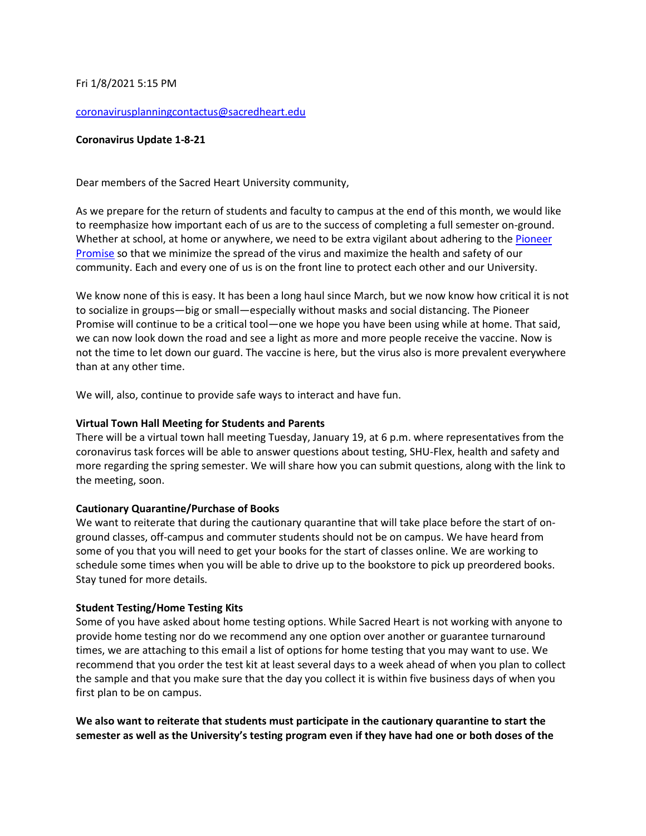### Fri 1/8/2021 5:15 PM

#### [coronavirusplanningcontactus@sacredheart.edu](mailto:coronavirusplanningcontactus@sacredheart.edu)

### **Coronavirus Update 1-8-21**

Dear members of the Sacred Heart University community,

As we prepare for the return of students and faculty to campus at the end of this month, we would like to reemphasize how important each of us are to the success of completing a full semester on-ground. Whether at school, at home or anywhere, we need to be extra vigilant about adhering to th[e Pioneer](https://www.sacredheart.edu/offices--departments-directory/health-services/coronavirus/shus-return-to-campus/the-pioneer-promise/)  [Promise](https://www.sacredheart.edu/offices--departments-directory/health-services/coronavirus/shus-return-to-campus/the-pioneer-promise/) so that we minimize the spread of the virus and maximize the health and safety of our community. Each and every one of us is on the front line to protect each other and our University.

We know none of this is easy. It has been a long haul since March, but we now know how critical it is not to socialize in groups—big or small—especially without masks and social distancing. The Pioneer Promise will continue to be a critical tool—one we hope you have been using while at home. That said, we can now look down the road and see a light as more and more people receive the vaccine. Now is not the time to let down our guard. The vaccine is here, but the virus also is more prevalent everywhere than at any other time.

We will, also, continue to provide safe ways to interact and have fun.

### **Virtual Town Hall Meeting for Students and Parents**

There will be a virtual town hall meeting Tuesday, January 19, at 6 p.m. where representatives from the coronavirus task forces will be able to answer questions about testing, SHU-Flex, health and safety and more regarding the spring semester. We will share how you can submit questions, along with the link to the meeting, soon.

## **Cautionary Quarantine/Purchase of Books**

We want to reiterate that during the cautionary quarantine that will take place before the start of onground classes, off-campus and commuter students should not be on campus. We have heard from some of you that you will need to get your books for the start of classes online. We are working to schedule some times when you will be able to drive up to the bookstore to pick up preordered books. Stay tuned for more details.

## **Student Testing/Home Testing Kits**

Some of you have asked about home testing options. While Sacred Heart is not working with anyone to provide home testing nor do we recommend any one option over another or guarantee turnaround times, we are attaching to this email a list of options for home testing that you may want to use. We recommend that you order the test kit at least several days to a week ahead of when you plan to collect the sample and that you make sure that the day you collect it is within five business days of when you first plan to be on campus.

**We also want to reiterate that students must participate in the cautionary quarantine to start the semester as well as the University's testing program even if they have had one or both doses of the**